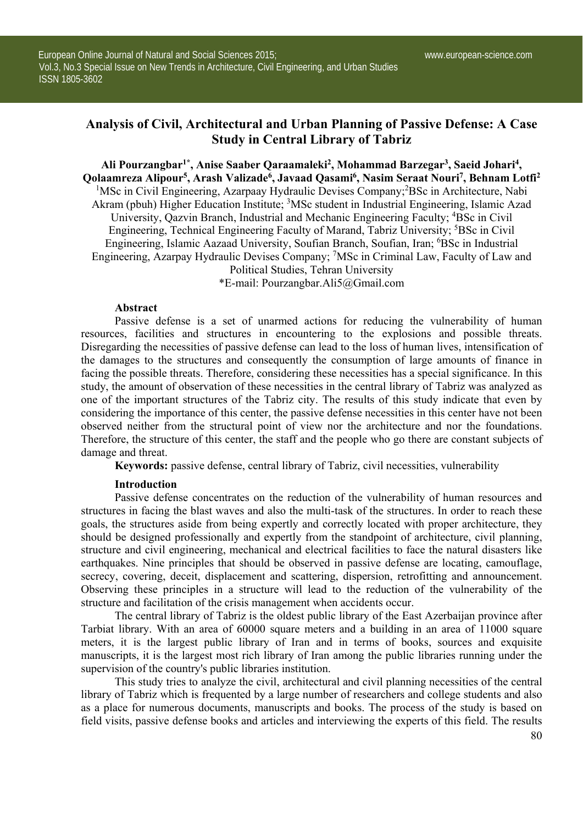# **Analysis of Civil, Architectural and Urban Planning of Passive Defense: A Case Study in Central Library of Tabriz**

**Ali Pourzangbar1\*, Anise Saaber Qaraamaleki2, Mohammad Barzegar3 , Saeid Johari4, Qolaamreza Alipour5, Arash Valizade6, Javaad Qasami6, Nasim Seraat Nouri7, Behnam Lotfi2** <sup>1</sup>MSc in Civil Engineering, Azarpaay Hydraulic Devises Company;<sup>2</sup>BSc in Architecture, Nabi Akram (pbuh) Higher Education Institute; <sup>3</sup>MSc student in Industrial Engineering, Islamic Azad University, Qazvin Branch, Industrial and Mechanic Engineering Faculty; <sup>4</sup>BSc in Civil Engineering, Technical Engineering Faculty of Marand, Tabriz University; <sup>5</sup>BSc in Civil Engineering, Islamic Aazaad University, Soufian Branch, Soufian, Iran; <sup>6</sup>BSc in Industrial Engineering, Azarpay Hydraulic Devises Company; 7 MSc in Criminal Law, Faculty of Law and Political Studies, Tehran University

\*E-mail: Pourzangbar.Ali5@Gmail.com

#### **Abstract**

Passive defense is a set of unarmed actions for reducing the vulnerability of human resources, facilities and structures in encountering to the explosions and possible threats. Disregarding the necessities of passive defense can lead to the loss of human lives, intensification of the damages to the structures and consequently the consumption of large amounts of finance in facing the possible threats. Therefore, considering these necessities has a special significance. In this study, the amount of observation of these necessities in the central library of Tabriz was analyzed as one of the important structures of the Tabriz city. The results of this study indicate that even by considering the importance of this center, the passive defense necessities in this center have not been observed neither from the structural point of view nor the architecture and nor the foundations. Therefore, the structure of this center, the staff and the people who go there are constant subjects of damage and threat.

**Keywords:** passive defense, central library of Tabriz, civil necessities, vulnerability

#### **Introduction**

Passive defense concentrates on the reduction of the vulnerability of human resources and structures in facing the blast waves and also the multi-task of the structures. In order to reach these goals, the structures aside from being expertly and correctly located with proper architecture, they should be designed professionally and expertly from the standpoint of architecture, civil planning, structure and civil engineering, mechanical and electrical facilities to face the natural disasters like earthquakes. Nine principles that should be observed in passive defense are locating, camouflage, secrecy, covering, deceit, displacement and scattering, dispersion, retrofitting and announcement. Observing these principles in a structure will lead to the reduction of the vulnerability of the structure and facilitation of the crisis management when accidents occur.

The central library of Tabriz is the oldest public library of the East Azerbaijan province after Tarbiat library. With an area of 60000 square meters and a building in an area of 11000 square meters, it is the largest public library of Iran and in terms of books, sources and exquisite manuscripts, it is the largest most rich library of Iran among the public libraries running under the supervision of the country's public libraries institution.

This study tries to analyze the civil, architectural and civil planning necessities of the central library of Tabriz which is frequented by a large number of researchers and college students and also as a place for numerous documents, manuscripts and books. The process of the study is based on field visits, passive defense books and articles and interviewing the experts of this field. The results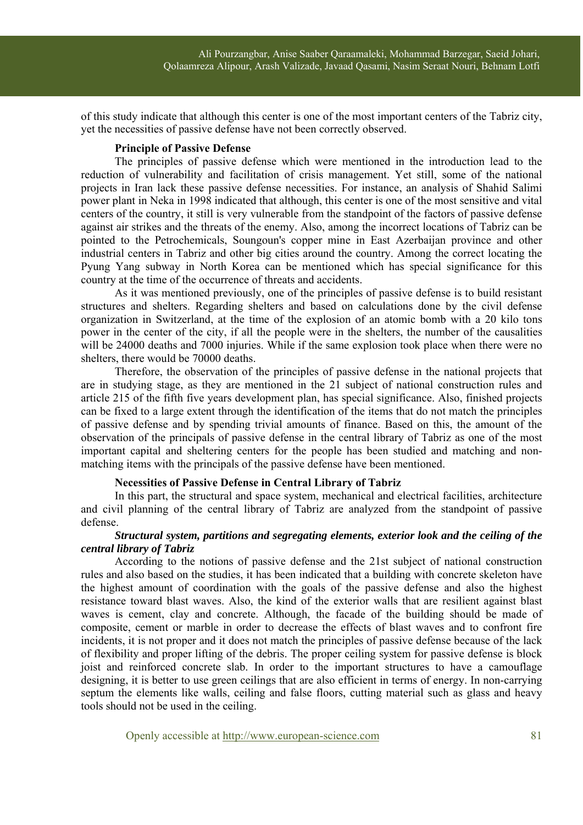of this study indicate that although this center is one of the most important centers of the Tabriz city, yet the necessities of passive defense have not been correctly observed.

#### **Principle of Passive Defense**

The principles of passive defense which were mentioned in the introduction lead to the reduction of vulnerability and facilitation of crisis management. Yet still, some of the national projects in Iran lack these passive defense necessities. For instance, an analysis of Shahid Salimi power plant in Neka in 1998 indicated that although, this center is one of the most sensitive and vital centers of the country, it still is very vulnerable from the standpoint of the factors of passive defense against air strikes and the threats of the enemy. Also, among the incorrect locations of Tabriz can be pointed to the Petrochemicals, Soungoun's copper mine in East Azerbaijan province and other industrial centers in Tabriz and other big cities around the country. Among the correct locating the Pyung Yang subway in North Korea can be mentioned which has special significance for this country at the time of the occurrence of threats and accidents.

As it was mentioned previously, one of the principles of passive defense is to build resistant structures and shelters. Regarding shelters and based on calculations done by the civil defense organization in Switzerland, at the time of the explosion of an atomic bomb with a 20 kilo tons power in the center of the city, if all the people were in the shelters, the number of the causalities will be 24000 deaths and 7000 injuries. While if the same explosion took place when there were no shelters, there would be 70000 deaths.

Therefore, the observation of the principles of passive defense in the national projects that are in studying stage, as they are mentioned in the 21 subject of national construction rules and article 215 of the fifth five years development plan, has special significance. Also, finished projects can be fixed to a large extent through the identification of the items that do not match the principles of passive defense and by spending trivial amounts of finance. Based on this, the amount of the observation of the principals of passive defense in the central library of Tabriz as one of the most important capital and sheltering centers for the people has been studied and matching and nonmatching items with the principals of the passive defense have been mentioned.

### **Necessities of Passive Defense in Central Library of Tabriz**

In this part, the structural and space system, mechanical and electrical facilities, architecture and civil planning of the central library of Tabriz are analyzed from the standpoint of passive defense.

### *Structural system, partitions and segregating elements, exterior look and the ceiling of the central library of Tabriz*

According to the notions of passive defense and the 21st subject of national construction rules and also based on the studies, it has been indicated that a building with concrete skeleton have the highest amount of coordination with the goals of the passive defense and also the highest resistance toward blast waves. Also, the kind of the exterior walls that are resilient against blast waves is cement, clay and concrete. Although, the facade of the building should be made of composite, cement or marble in order to decrease the effects of blast waves and to confront fire incidents, it is not proper and it does not match the principles of passive defense because of the lack of flexibility and proper lifting of the debris. The proper ceiling system for passive defense is block joist and reinforced concrete slab. In order to the important structures to have a camouflage designing, it is better to use green ceilings that are also efficient in terms of energy. In non-carrying septum the elements like walls, ceiling and false floors, cutting material such as glass and heavy tools should not be used in the ceiling.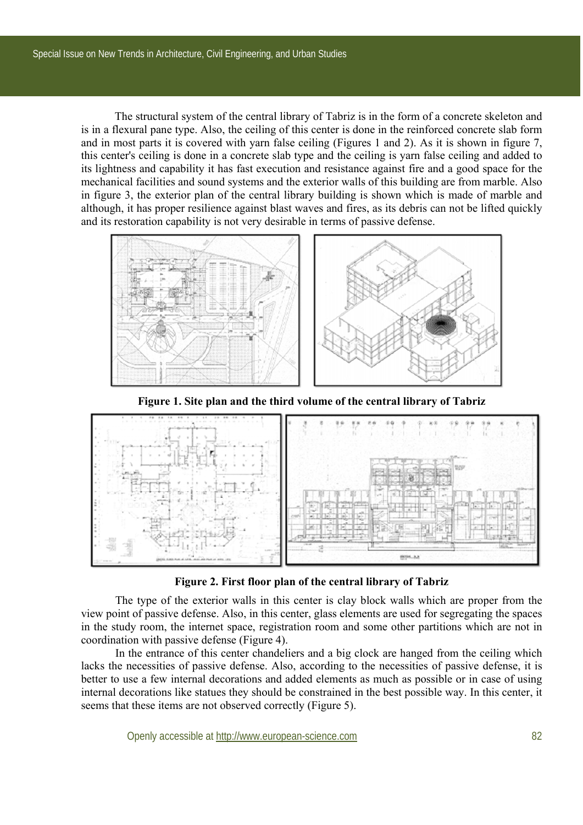The structural system of the central library of Tabriz is in the form of a concrete skeleton and is in a flexural pane type. Also, the ceiling of this center is done in the reinforced concrete slab form and in most parts it is covered with yarn false ceiling (Figures 1 and 2). As it is shown in figure 7, this center's ceiling is done in a concrete slab type and the ceiling is yarn false ceiling and added to its lightness and capability it has fast execution and resistance against fire and a good space for the mechanical facilities and sound systems and the exterior walls of this building are from marble. Also in figure 3, the exterior plan of the central library building is shown which is made of marble and although, it has proper resilience against blast waves and fires, as its debris can not be lifted quickly and its restoration capability is not very desirable in terms of passive defense.



**Figure 1. Site plan and the third volume of the central library of Tabriz** 



**Figure 2. First floor plan of the central library of Tabriz** 

The type of the exterior walls in this center is clay block walls which are proper from the view point of passive defense. Also, in this center, glass elements are used for segregating the spaces in the study room, the internet space, registration room and some other partitions which are not in coordination with passive defense (Figure 4).

In the entrance of this center chandeliers and a big clock are hanged from the ceiling which lacks the necessities of passive defense. Also, according to the necessities of passive defense, it is better to use a few internal decorations and added elements as much as possible or in case of using internal decorations like statues they should be constrained in the best possible way. In this center, it seems that these items are not observed correctly (Figure 5).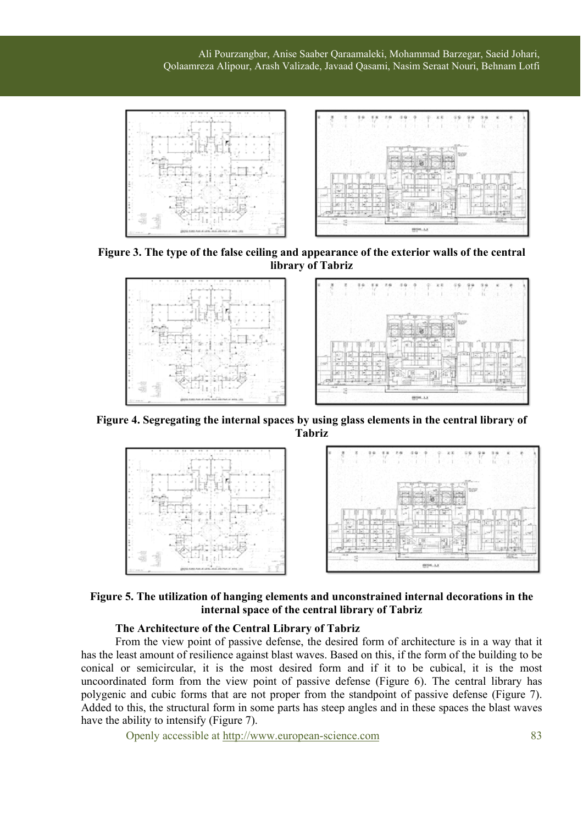Ali Pourzangbar, Anise Saaber Qaraamaleki, Mohammad Barzegar, Saeid Johari, Qolaamreza Alipour, Arash Valizade, Javaad Qasami, Nasim Seraat Nouri, Behnam Lotfi



**Figure 3. The type of the false ceiling and appearance of the exterior walls of the central library of Tabriz**



**Figure 4. Segregating the internal spaces by using glass elements in the central library of Tabriz** 



**Figure 5. The utilization of hanging elements and unconstrained internal decorations in the internal space of the central library of Tabriz** 

## **The Architecture of the Central Library of Tabriz**

From the view point of passive defense, the desired form of architecture is in a way that it has the least amount of resilience against blast waves. Based on this, if the form of the building to be conical or semicircular, it is the most desired form and if it to be cubical, it is the most uncoordinated form from the view point of passive defense (Figure 6). The central library has polygenic and cubic forms that are not proper from the standpoint of passive defense (Figure 7). Added to this, the structural form in some parts has steep angles and in these spaces the blast waves have the ability to intensify (Figure 7).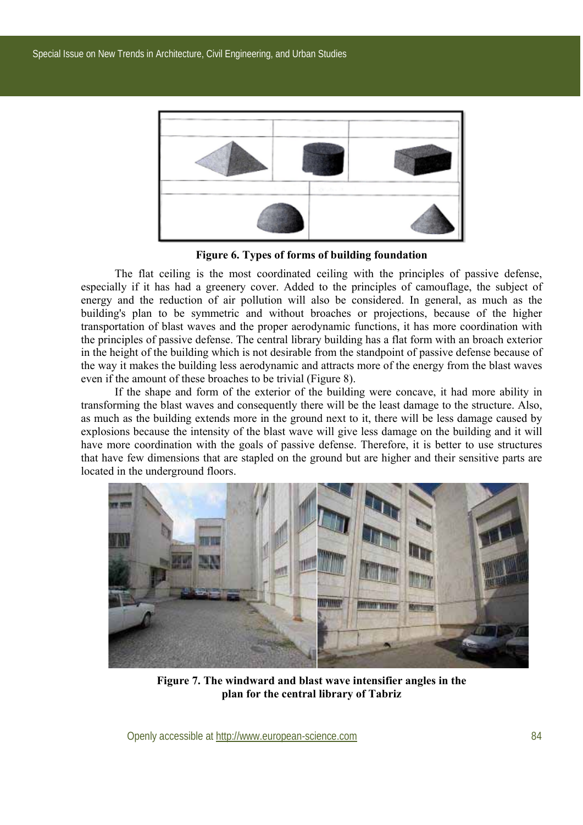

**Figure 6. Types of forms of building foundation** 

The flat ceiling is the most coordinated ceiling with the principles of passive defense, especially if it has had a greenery cover. Added to the principles of camouflage, the subject of energy and the reduction of air pollution will also be considered. In general, as much as the building's plan to be symmetric and without broaches or projections, because of the higher transportation of blast waves and the proper aerodynamic functions, it has more coordination with the principles of passive defense. The central library building has a flat form with an broach exterior in the height of the building which is not desirable from the standpoint of passive defense because of the way it makes the building less aerodynamic and attracts more of the energy from the blast waves even if the amount of these broaches to be trivial (Figure 8).

If the shape and form of the exterior of the building were concave, it had more ability in transforming the blast waves and consequently there will be the least damage to the structure. Also, as much as the building extends more in the ground next to it, there will be less damage caused by explosions because the intensity of the blast wave will give less damage on the building and it will have more coordination with the goals of passive defense. Therefore, it is better to use structures that have few dimensions that are stapled on the ground but are higher and their sensitive parts are located in the underground floors.



**Figure 7. The windward and blast wave intensifier angles in the plan for the central library of Tabriz**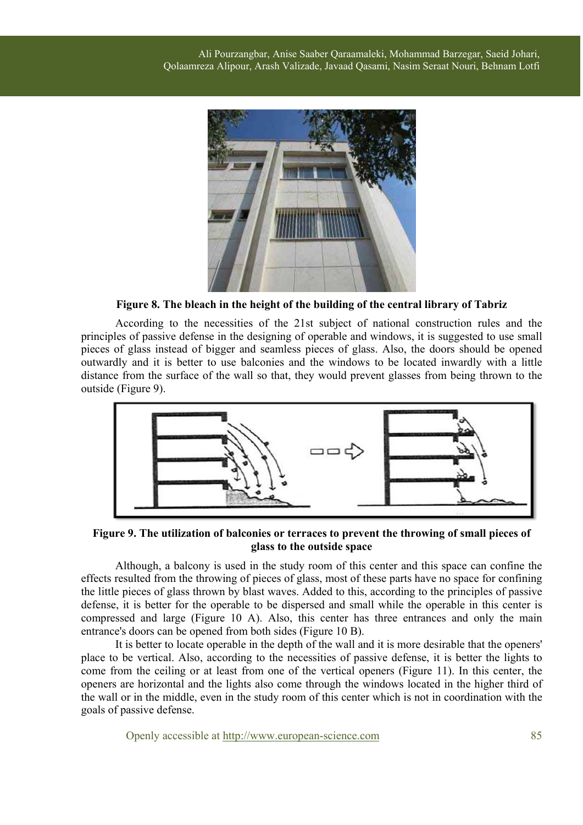![](_page_5_Picture_1.jpeg)

**Figure 8. The bleach in the height of the building of the central library of Tabriz** 

According to the necessities of the 21st subject of national construction rules and the principles of passive defense in the designing of operable and windows, it is suggested to use small pieces of glass instead of bigger and seamless pieces of glass. Also, the doors should be opened outwardly and it is better to use balconies and the windows to be located inwardly with a little distance from the surface of the wall so that, they would prevent glasses from being thrown to the outside (Figure 9).

![](_page_5_Figure_4.jpeg)

**Figure 9. The utilization of balconies or terraces to prevent the throwing of small pieces of glass to the outside space**

Although, a balcony is used in the study room of this center and this space can confine the effects resulted from the throwing of pieces of glass, most of these parts have no space for confining the little pieces of glass thrown by blast waves. Added to this, according to the principles of passive defense, it is better for the operable to be dispersed and small while the operable in this center is compressed and large (Figure 10 A). Also, this center has three entrances and only the main entrance's doors can be opened from both sides (Figure 10 B).

It is better to locate operable in the depth of the wall and it is more desirable that the openers' place to be vertical. Also, according to the necessities of passive defense, it is better the lights to come from the ceiling or at least from one of the vertical openers (Figure 11). In this center, the openers are horizontal and the lights also come through the windows located in the higher third of the wall or in the middle, even in the study room of this center which is not in coordination with the goals of passive defense.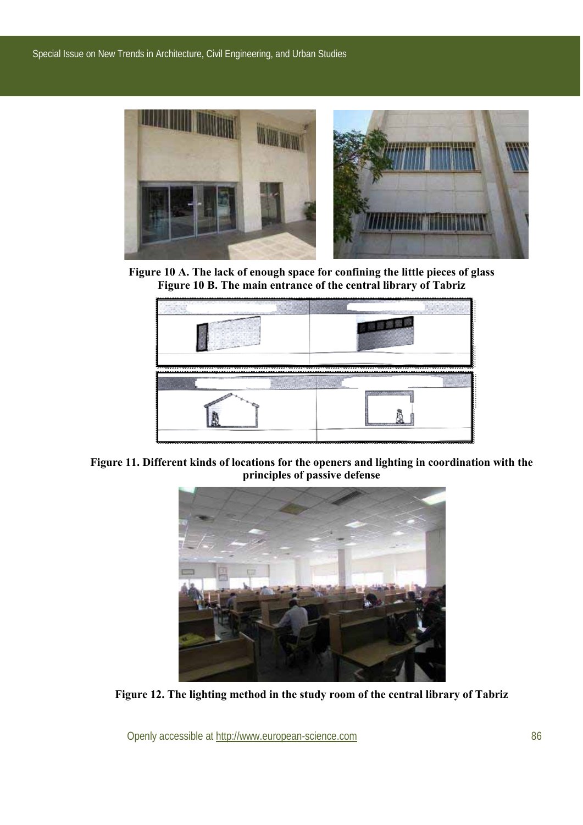![](_page_6_Picture_1.jpeg)

**Figure 10 A. The lack of enough space for confining the little pieces of glass Figure 10 B. The main entrance of the central library of Tabriz**

![](_page_6_Figure_3.jpeg)

**Figure 11. Different kinds of locations for the openers and lighting in coordination with the principles of passive defense**

![](_page_6_Picture_5.jpeg)

**Figure 12. The lighting method in the study room of the central library of Tabriz**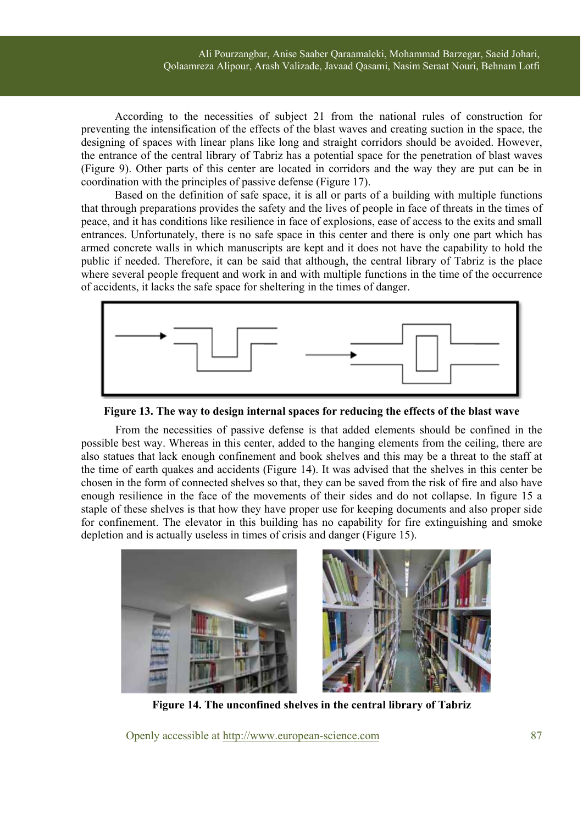According to the necessities of subject 21 from the national rules of construction for preventing the intensification of the effects of the blast waves and creating suction in the space, the designing of spaces with linear plans like long and straight corridors should be avoided. However, the entrance of the central library of Tabriz has a potential space for the penetration of blast waves (Figure 9). Other parts of this center are located in corridors and the way they are put can be in coordination with the principles of passive defense (Figure 17).

Based on the definition of safe space, it is all or parts of a building with multiple functions that through preparations provides the safety and the lives of people in face of threats in the times of peace, and it has conditions like resilience in face of explosions, ease of access to the exits and small entrances. Unfortunately, there is no safe space in this center and there is only one part which has armed concrete walls in which manuscripts are kept and it does not have the capability to hold the public if needed. Therefore, it can be said that although, the central library of Tabriz is the place where several people frequent and work in and with multiple functions in the time of the occurrence of accidents, it lacks the safe space for sheltering in the times of danger.

![](_page_7_Figure_3.jpeg)

**Figure 13. The way to design internal spaces for reducing the effects of the blast wave** 

From the necessities of passive defense is that added elements should be confined in the possible best way. Whereas in this center, added to the hanging elements from the ceiling, there are also statues that lack enough confinement and book shelves and this may be a threat to the staff at the time of earth quakes and accidents (Figure 14). It was advised that the shelves in this center be chosen in the form of connected shelves so that, they can be saved from the risk of fire and also have enough resilience in the face of the movements of their sides and do not collapse. In figure 15 a staple of these shelves is that how they have proper use for keeping documents and also proper side for confinement. The elevator in this building has no capability for fire extinguishing and smoke depletion and is actually useless in times of crisis and danger (Figure 15).

![](_page_7_Picture_6.jpeg)

**Figure 14. The unconfined shelves in the central library of Tabriz**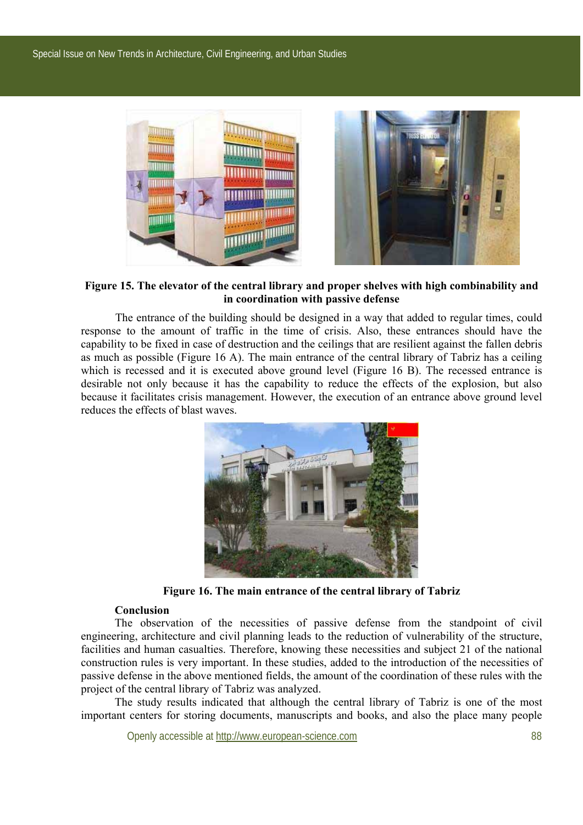![](_page_8_Picture_1.jpeg)

### **Figure 15. The elevator of the central library and proper shelves with high combinability and in coordination with passive defense**

The entrance of the building should be designed in a way that added to regular times, could response to the amount of traffic in the time of crisis. Also, these entrances should have the capability to be fixed in case of destruction and the ceilings that are resilient against the fallen debris as much as possible (Figure 16 A). The main entrance of the central library of Tabriz has a ceiling which is recessed and it is executed above ground level (Figure 16 B). The recessed entrance is desirable not only because it has the capability to reduce the effects of the explosion, but also because it facilitates crisis management. However, the execution of an entrance above ground level reduces the effects of blast waves.

![](_page_8_Picture_4.jpeg)

**Figure 16. The main entrance of the central library of Tabriz** 

# **Conclusion**

The observation of the necessities of passive defense from the standpoint of civil engineering, architecture and civil planning leads to the reduction of vulnerability of the structure, facilities and human casualties. Therefore, knowing these necessities and subject 21 of the national construction rules is very important. In these studies, added to the introduction of the necessities of passive defense in the above mentioned fields, the amount of the coordination of these rules with the project of the central library of Tabriz was analyzed.

The study results indicated that although the central library of Tabriz is one of the most important centers for storing documents, manuscripts and books, and also the place many people